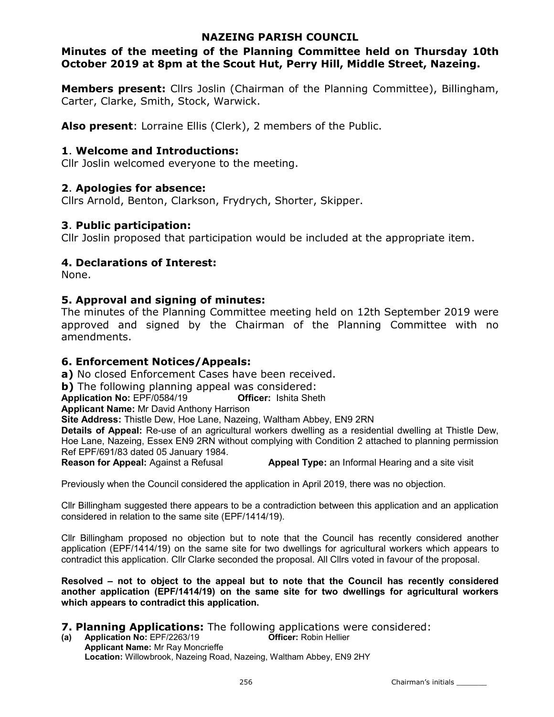## NAZEING PARISH COUNCIL

# Minutes of the meeting of the Planning Committee held on Thursday 10th October 2019 at 8pm at the Scout Hut, Perry Hill, Middle Street, Nazeing.

Members present: Cllrs Joslin (Chairman of the Planning Committee), Billingham, Carter, Clarke, Smith, Stock, Warwick.

Also present: Lorraine Ellis (Clerk), 2 members of the Public.

## 1. Welcome and Introductions:

Cllr Joslin welcomed everyone to the meeting.

## 2. Apologies for absence:

Cllrs Arnold, Benton, Clarkson, Frydrych, Shorter, Skipper.

## 3. Public participation:

Cllr Joslin proposed that participation would be included at the appropriate item.

## 4. Declarations of Interest:

None.

## 5. Approval and signing of minutes:

The minutes of the Planning Committee meeting held on 12th September 2019 were approved and signed by the Chairman of the Planning Committee with no amendments.

## 6. Enforcement Notices/Appeals:

a) No closed Enforcement Cases have been received.

b) The following planning appeal was considered:

Application No: EPF/0584/19 Question Officer: Ishita Sheth

Applicant Name: Mr David Anthony Harrison

Site Address: Thistle Dew, Hoe Lane, Nazeing, Waltham Abbey, EN9 2RN

Details of Appeal: Re-use of an agricultural workers dwelling as a residential dwelling at Thistle Dew, Hoe Lane, Nazeing, Essex EN9 2RN without complying with Condition 2 attached to planning permission Ref EPF/691/83 dated 05 January 1984.

Reason for Appeal: Against a Refusal **Appeal Type:** an Informal Hearing and a site visit

Previously when the Council considered the application in April 2019, there was no objection.

Cllr Billingham suggested there appears to be a contradiction between this application and an application considered in relation to the same site (EPF/1414/19).

Cllr Billingham proposed no objection but to note that the Council has recently considered another application (EPF/1414/19) on the same site for two dwellings for agricultural workers which appears to contradict this application. Cllr Clarke seconded the proposal. All Cllrs voted in favour of the proposal.

Resolved – not to object to the appeal but to note that the Council has recently considered another application (EPF/1414/19) on the same site for two dwellings for agricultural workers which appears to contradict this application.

# **7. Planning Applications:** The following applications were considered:<br>(a) Application No: EPF/2263/19 **Officer:** Robin Hellier

(a) Application No:  $EPF/2263/19$ Applicant Name: Mr Ray Moncrieffe Location: Willowbrook, Nazeing Road, Nazeing, Waltham Abbey, EN9 2HY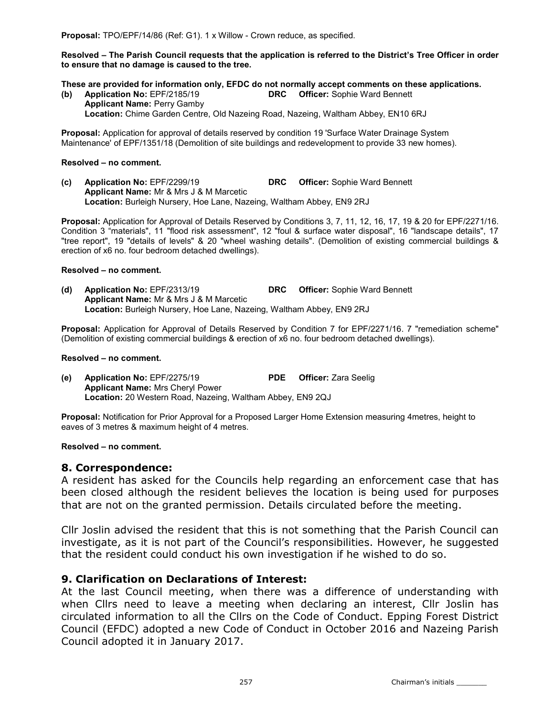Resolved – The Parish Council requests that the application is referred to the District's Tree Officer in order to ensure that no damage is caused to the tree.

These are provided for information only, EFDC do not normally accept comments on these applications.

(b) Application No: EPF/2185/19 DRC Officer: Sophie Ward Bennett Applicant Name: Perry Gamby Location: Chime Garden Centre, Old Nazeing Road, Nazeing, Waltham Abbey, EN10 6RJ

Proposal: Application for approval of details reserved by condition 19 'Surface Water Drainage System Maintenance' of EPF/1351/18 (Demolition of site buildings and redevelopment to provide 33 new homes).

#### Resolved – no comment.

(c) Application No: EPF/2299/19 DRC Officer: Sophie Ward Bennett Applicant Name: Mr & Mrs J & M Marcetic Location: Burleigh Nursery, Hoe Lane, Nazeing, Waltham Abbey, EN9 2RJ

Proposal: Application for Approval of Details Reserved by Conditions 3, 7, 11, 12, 16, 17, 19 & 20 for EPF/2271/16. Condition 3 "materials", 11 "flood risk assessment", 12 "foul & surface water disposal", 16 "landscape details", 17 "tree report", 19 "details of levels" & 20 "wheel washing details". (Demolition of existing commercial buildings & erection of x6 no. four bedroom detached dwellings).

### Resolved – no comment.

(d) Application No: EPF/2313/19 DRC Officer: Sophie Ward Bennett Applicant Name: Mr & Mrs J & M Marcetic Location: Burleigh Nursery, Hoe Lane, Nazeing, Waltham Abbey, EN9 2RJ

Proposal: Application for Approval of Details Reserved by Condition 7 for EPF/2271/16. 7 "remediation scheme" (Demolition of existing commercial buildings & erection of x6 no. four bedroom detached dwellings).

### Resolved – no comment.

(e) Application No: EPF/2275/19 PDE Officer: Zara Seelig Applicant Name: Mrs Cheryl Power Location: 20 Western Road, Nazeing, Waltham Abbey, EN9 2QJ

Proposal: Notification for Prior Approval for a Proposed Larger Home Extension measuring 4metres, height to eaves of 3 metres & maximum height of 4 metres.

### Resolved – no comment.

## 8. Correspondence:

A resident has asked for the Councils help regarding an enforcement case that has been closed although the resident believes the location is being used for purposes that are not on the granted permission. Details circulated before the meeting.

Cllr Joslin advised the resident that this is not something that the Parish Council can investigate, as it is not part of the Council's responsibilities. However, he suggested that the resident could conduct his own investigation if he wished to do so.

## 9. Clarification on Declarations of Interest:

At the last Council meeting, when there was a difference of understanding with when Cllrs need to leave a meeting when declaring an interest, Cllr Joslin has circulated information to all the Cllrs on the Code of Conduct. Epping Forest District Council (EFDC) adopted a new Code of Conduct in October 2016 and Nazeing Parish Council adopted it in January 2017.